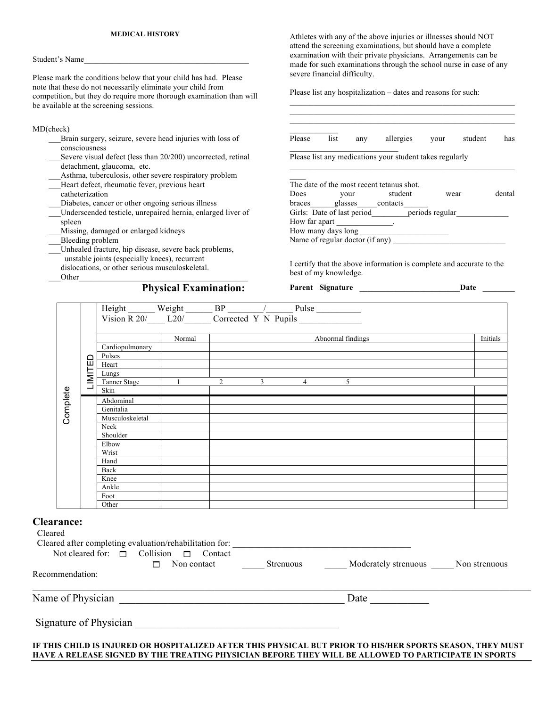# **MEDICAL HISTORY**

### Student's Name\_\_\_\_\_\_\_\_\_\_\_\_\_\_\_\_\_\_\_\_\_\_\_\_\_\_\_\_\_\_\_\_\_\_\_\_\_\_\_\_\_

Please mark the conditions below that your child has had. Please note that these do not necessarily eliminate your child from competition, but they do require more thorough examination than will be available at the screening sessions.

## MD(check)

- Brain surgery, seizure, severe head injuries with loss of consciousness
- Severe visual defect (less than 20/200) uncorrected, retinal detachment, glaucoma, etc.
- Asthma, tuberculosis, other severe respiratory problem
- Heart defect, rheumatic fever, previous heart catheterization
- Diabetes, cancer or other ongoing serious illness
- \_\_\_Underscended testicle, unrepaired hernia, enlarged liver of spleen
- \_\_\_Missing, damaged or enlarged kidneys
- \_\_\_Bleeding problem
- \_\_\_Unhealed fracture, hip disease, severe back problems, unstable joints (especially knees), recurrent dislocations, or other serious musculoskeletal.
	- Other

# **Physical Examination:**

Athletes with any of the above injuries or illnesses should NOT attend the screening examinations, but should have a complete examination with their private physicians. Arrangements can be made for such examinations through the school nurse in case of any severe financial difficulty.

 $\mathcal{L}_\text{max}$  and the contract of the contract of the contract of the contract of the contract of the contract of

Please list any hospitalization – dates and reasons for such:

| Please                          | list | any | allergies                                                | vour            | student | has    |
|---------------------------------|------|-----|----------------------------------------------------------|-----------------|---------|--------|
|                                 |      |     | Please list any medications your student takes regularly |                 |         |        |
|                                 |      |     | The date of the most recent tetanus shot.                |                 |         |        |
| Does                            | vour |     | student                                                  | wear            |         | dental |
|                                 |      |     | braces glasses contacts                                  |                 |         |        |
| Girls: Date of last period      |      |     |                                                          | periods regular |         |        |
| How far apart                   |      |     |                                                          |                 |         |        |
| How many days long              |      |     |                                                          |                 |         |        |
| Name of regular doctor (if any) |      |     |                                                          |                 |         |        |

I certify that the above information is complete and accurate to the best of my knowledge.

Parent Signature **Date** 

|                                                 |        |                                                  | Height Weight $\frac{B}{R}$ Weight $\frac{B}{R}$ $\frac{C}{R}$ $\frac{C}{R}$ $\frac{C}{R}$ $\frac{C}{R}$ $\frac{C}{R}$ $\frac{C}{R}$ $\frac{D}{R}$ $\frac{D}{R}$ $\frac{D}{R}$ $\frac{D}{R}$ $\frac{D}{R}$ $\frac{D}{R}$ $\frac{D}{R}$ $\frac{D}{R}$ $\frac{D}{R}$ $\frac{D}{R}$ $\frac{D}{R}$ $\frac{D}{R}$ |  |                                                     |                   |                                                                                                                                                                                                                   |  |
|-------------------------------------------------|--------|--------------------------------------------------|--------------------------------------------------------------------------------------------------------------------------------------------------------------------------------------------------------------------------------------------------------------------------------------------------------------|--|-----------------------------------------------------|-------------------|-------------------------------------------------------------------------------------------------------------------------------------------------------------------------------------------------------------------|--|
|                                                 |        | Normal                                           |                                                                                                                                                                                                                                                                                                              |  |                                                     | Abnormal findings | Initials                                                                                                                                                                                                          |  |
|                                                 |        | Cardiopulmonary                                  |                                                                                                                                                                                                                                                                                                              |  |                                                     |                   |                                                                                                                                                                                                                   |  |
|                                                 | 品      | Pulses                                           |                                                                                                                                                                                                                                                                                                              |  |                                                     |                   |                                                                                                                                                                                                                   |  |
|                                                 |        | Heart                                            |                                                                                                                                                                                                                                                                                                              |  |                                                     |                   |                                                                                                                                                                                                                   |  |
|                                                 | LIMITI | Lungs<br>Tanner Stage                            | $\overline{1}$                                                                                                                                                                                                                                                                                               |  | $2 \qquad \qquad 3 \qquad \qquad 4 \qquad \qquad 5$ |                   |                                                                                                                                                                                                                   |  |
|                                                 |        | Skin                                             |                                                                                                                                                                                                                                                                                                              |  |                                                     |                   |                                                                                                                                                                                                                   |  |
| Complete                                        |        |                                                  |                                                                                                                                                                                                                                                                                                              |  |                                                     |                   |                                                                                                                                                                                                                   |  |
|                                                 |        | Abdominal                                        |                                                                                                                                                                                                                                                                                                              |  |                                                     |                   |                                                                                                                                                                                                                   |  |
|                                                 |        | Genitalia<br>Musculoskeletal                     |                                                                                                                                                                                                                                                                                                              |  |                                                     |                   |                                                                                                                                                                                                                   |  |
|                                                 |        | Neck                                             |                                                                                                                                                                                                                                                                                                              |  |                                                     |                   |                                                                                                                                                                                                                   |  |
|                                                 |        | Shoulder                                         |                                                                                                                                                                                                                                                                                                              |  |                                                     |                   |                                                                                                                                                                                                                   |  |
|                                                 |        | Elbow                                            |                                                                                                                                                                                                                                                                                                              |  |                                                     |                   |                                                                                                                                                                                                                   |  |
|                                                 |        | Wrist                                            |                                                                                                                                                                                                                                                                                                              |  |                                                     |                   |                                                                                                                                                                                                                   |  |
|                                                 |        | Hand                                             |                                                                                                                                                                                                                                                                                                              |  |                                                     |                   |                                                                                                                                                                                                                   |  |
|                                                 |        | Back                                             |                                                                                                                                                                                                                                                                                                              |  |                                                     |                   |                                                                                                                                                                                                                   |  |
|                                                 |        | Knee                                             |                                                                                                                                                                                                                                                                                                              |  |                                                     |                   |                                                                                                                                                                                                                   |  |
|                                                 |        | Ankle                                            |                                                                                                                                                                                                                                                                                                              |  |                                                     |                   |                                                                                                                                                                                                                   |  |
|                                                 |        | Foot                                             |                                                                                                                                                                                                                                                                                                              |  |                                                     |                   |                                                                                                                                                                                                                   |  |
|                                                 |        | Other                                            |                                                                                                                                                                                                                                                                                                              |  |                                                     |                   |                                                                                                                                                                                                                   |  |
| <b>Clearance:</b><br>Cleared<br>Recommendation: |        | Not cleared for: $\Box$ Collision $\Box$ Contact |                                                                                                                                                                                                                                                                                                              |  |                                                     |                   |                                                                                                                                                                                                                   |  |
|                                                 |        |                                                  |                                                                                                                                                                                                                                                                                                              |  |                                                     |                   | Date                                                                                                                                                                                                              |  |
|                                                 |        |                                                  |                                                                                                                                                                                                                                                                                                              |  |                                                     |                   |                                                                                                                                                                                                                   |  |
|                                                 |        |                                                  |                                                                                                                                                                                                                                                                                                              |  |                                                     |                   | IF THIS CHILD IS INJURED OR HOSPITALIZED AFTER THIS PHYSICAL BUT PRIOR TO HIS/HER SPORTS SEASON, THEY MUS<br>HAVE A RELEASE SIGNED BY THE TREATING PHYSICIAN BEFORE THEY WILL BE ALLOWED TO PARTICIPATE IN SPORTS |  |

#### **Clear**  $C$ lear

| Not cleared for: $\Box$ Collision $\Box$ | Cleared after completing evaluation/rehabilitation for:<br>Contact<br>Non contact | <b>Strenuous</b> | Moderately strenuous | Non strenuous |
|------------------------------------------|-----------------------------------------------------------------------------------|------------------|----------------------|---------------|
| Recommendation:                          |                                                                                   |                  |                      |               |
| Name of Physician                        |                                                                                   |                  | Date                 |               |
| Signature of Physician                   |                                                                                   |                  |                      |               |

# **IF THIS CHILD IS INJURED OR HOSPITALIZED AFTER THIS PHYSICAL BUT PRIOR TO HIS/HER SPORTS SEASON, THEY MUST**